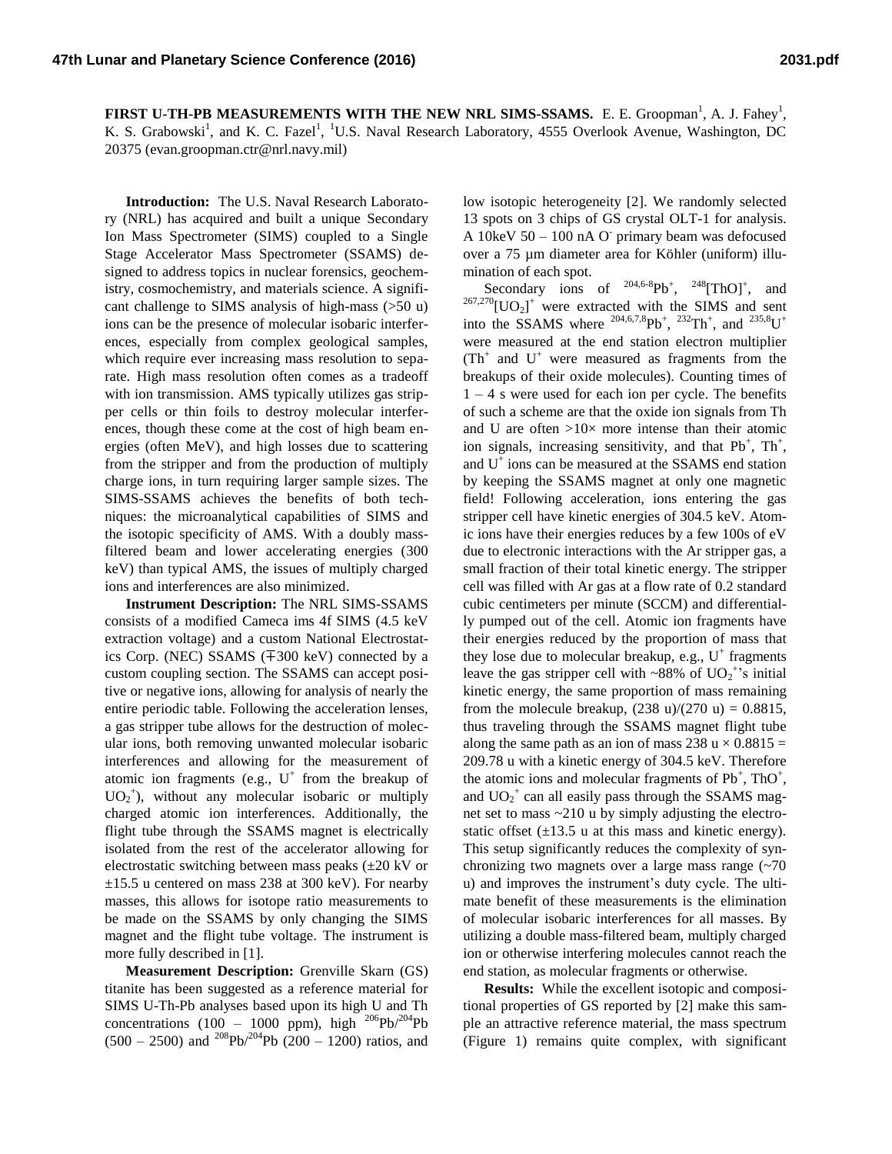**FIRST U-TH-PB MEASUREMENTS WITH THE NEW NRL SIMS-SSAMS.** E. E. Groopman<sup>1</sup>, A. J. Fahey<sup>1</sup>, K. S. Grabowski<sup>1</sup>, and K. C. Fazel<sup>1</sup>, <sup>1</sup>U.S. Naval Research Laboratory, 4555 Overlook Avenue, Washington, DC 20375 (evan.groopman.ctr@nrl.navy.mil)

**Introduction:** The U.S. Naval Research Laboratory (NRL) has acquired and built a unique Secondary Ion Mass Spectrometer (SIMS) coupled to a Single Stage Accelerator Mass Spectrometer (SSAMS) designed to address topics in nuclear forensics, geochemistry, cosmochemistry, and materials science. A significant challenge to SIMS analysis of high-mass (>50 u) ions can be the presence of molecular isobaric interferences, especially from complex geological samples, which require ever increasing mass resolution to separate. High mass resolution often comes as a tradeoff with ion transmission. AMS typically utilizes gas stripper cells or thin foils to destroy molecular interferences, though these come at the cost of high beam energies (often MeV), and high losses due to scattering from the stripper and from the production of multiply charge ions, in turn requiring larger sample sizes. The SIMS-SSAMS achieves the benefits of both techniques: the microanalytical capabilities of SIMS and the isotopic specificity of AMS. With a doubly massfiltered beam and lower accelerating energies (300 keV) than typical AMS, the issues of multiply charged ions and interferences are also minimized.

**Instrument Description:** The NRL SIMS-SSAMS consists of a modified Cameca ims 4f SIMS (4.5 keV extraction voltage) and a custom National Electrostatics Corp. (NEC) SSAMS (∓300 keV) connected by a custom coupling section. The SSAMS can accept positive or negative ions, allowing for analysis of nearly the entire periodic table. Following the acceleration lenses, a gas stripper tube allows for the destruction of molecular ions, both removing unwanted molecular isobaric interferences and allowing for the measurement of atomic ion fragments (e.g.,  $U^+$  from the breakup of  $UO_2$ <sup>+</sup>), without any molecular isobaric or multiply charged atomic ion interferences. Additionally, the flight tube through the SSAMS magnet is electrically isolated from the rest of the accelerator allowing for electrostatic switching between mass peaks (±20 kV or  $\pm 15.5$  u centered on mass 238 at 300 keV). For nearby masses, this allows for isotope ratio measurements to be made on the SSAMS by only changing the SIMS magnet and the flight tube voltage. The instrument is more fully described in [1].

**Measurement Description:** Grenville Skarn (GS) titanite has been suggested as a reference material for SIMS U-Th-Pb analyses based upon its high U and Th concentrations (100 – 1000 ppm), high  $^{206}Pb^{204}Pb$  $(500 - 2500)$  and <sup>208</sup>Pb/<sup>204</sup>Pb (200 – 1200) ratios, and

low isotopic heterogeneity [2]. We randomly selected 13 spots on 3 chips of GS crystal OLT-1 for analysis. A  $10 \text{keV}$  50 – 100 nA O primary beam was defocused over a 75 µm diameter area for Köhler (uniform) illumination of each spot.

Secondary ions of  $204,6-8$ Pb<sup>+</sup>,  $248$ [ThO]<sup>+</sup> , and  $^{267,270}$ [UO<sub>2</sub>]<sup>+</sup> were extracted with the SIMS and sent into the SSAMS where  $^{204,6,7,8}Pb^+$ ,  $^{232}Th^+$ , and  $^{235,8}U^+$ were measured at the end station electron multiplier  $(Th<sup>+</sup>$  and  $U<sup>+</sup>$  were measured as fragments from the breakups of their oxide molecules). Counting times of  $1 - 4$  s were used for each ion per cycle. The benefits of such a scheme are that the oxide ion signals from Th and U are often  $>10\times$  more intense than their atomic ion signals, increasing sensitivity, and that  $Pb^{+}$ ,  $Th^{+}$ , and  $U^{\dagger}$  ions can be measured at the SSAMS end station by keeping the SSAMS magnet at only one magnetic field! Following acceleration, ions entering the gas stripper cell have kinetic energies of 304.5 keV. Atomic ions have their energies reduces by a few 100s of eV due to electronic interactions with the Ar stripper gas, a small fraction of their total kinetic energy. The stripper cell was filled with Ar gas at a flow rate of 0.2 standard cubic centimeters per minute (SCCM) and differentially pumped out of the cell. Atomic ion fragments have their energies reduced by the proportion of mass that they lose due to molecular breakup, e.g.,  $U^+$  fragments leave the gas stripper cell with ~88% of  $UO_2^{\text{+}}$ 's initial kinetic energy, the same proportion of mass remaining from the molecule breakup,  $(238 \text{ u})/(270 \text{ u}) = 0.8815$ , thus traveling through the SSAMS magnet flight tube along the same path as an ion of mass 238 u  $\times$  0.8815 = 209.78 u with a kinetic energy of 304.5 keV. Therefore the atomic ions and molecular fragments of  $Pb^{+}$ , ThO<sup>+</sup>, and  $UO_2^+$  can all easily pass through the SSAMS magnet set to mass ~210 u by simply adjusting the electrostatic offset  $(\pm 13.5 \text{ u at this mass and kinetic energy}).$ This setup significantly reduces the complexity of synchronizing two magnets over a large mass range  $(-70)$ u) and improves the instrument's duty cycle. The ultimate benefit of these measurements is the elimination of molecular isobaric interferences for all masses. By utilizing a double mass-filtered beam, multiply charged ion or otherwise interfering molecules cannot reach the end station, as molecular fragments or otherwise.

**Results:** While the excellent isotopic and compositional properties of GS reported by [2] make this sample an attractive reference material, the mass spectrum [\(Figure 1\)](#page-1-0) remains quite complex, with significant